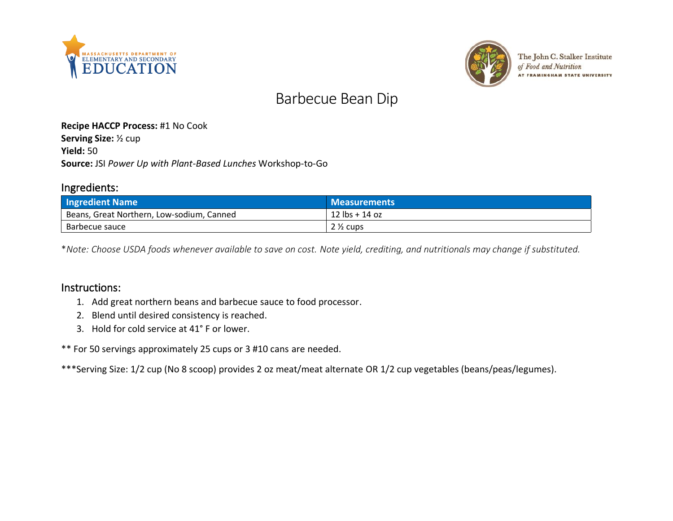



The John C. Stalker Institute of Food and Nutrition **AT FRAMINGHAM STATE UNIVERSITY** 

# Barbecue Bean Dip

#### **Recipe HACCP Process:** #1 No Cook

**Serving Size:** ½ cup **Yield:** 50 **Source:** JSI *Power Up with Plant-Based Lunches* Workshop-to-Go

#### Ingredients:

| <b>Ingredient Name</b>                    | <b>Measurements</b>              |
|-------------------------------------------|----------------------------------|
| Beans, Great Northern, Low-sodium, Canned | $12 \text{ lbs} + 14 \text{ oz}$ |
| Barbecue sauce                            | $2\%$ cups                       |

\**Note: Choose USDA foods whenever available to save on cost. Note yield, crediting, and nutritionals may change if substituted.*

#### Instructions:

- 1. Add great northern beans and barbecue sauce to food processor.
- 2. Blend until desired consistency is reached.
- 3. Hold for cold service at 41° F or lower.

\*\* For 50 servings approximately 25 cups or 3 #10 cans are needed.

\*\*\*Serving Size: 1/2 cup (No 8 scoop) provides 2 oz meat/meat alternate OR 1/2 cup vegetables (beans/peas/legumes).